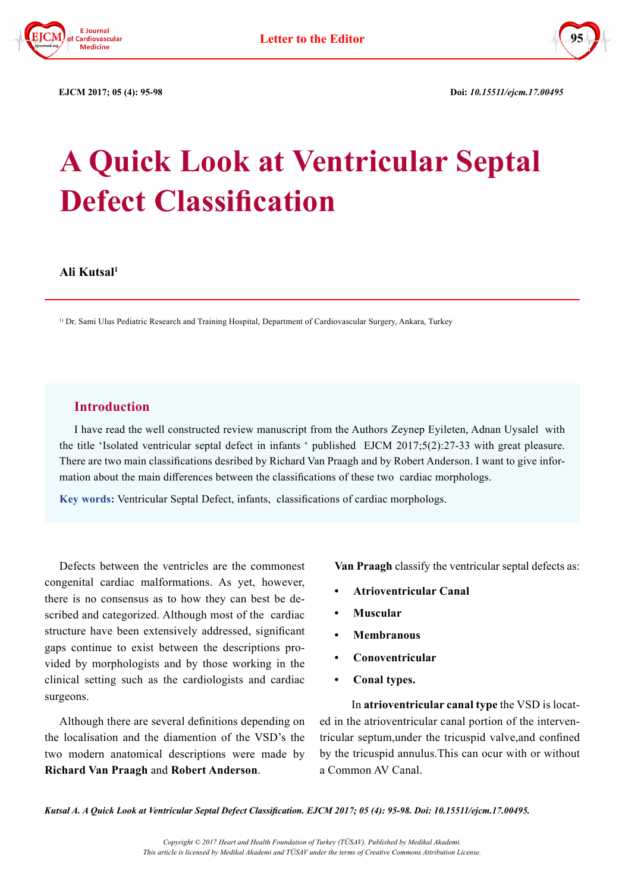



 **EJCM 2017; 05 (4): 95-98 Doi:** *10.15511/ejcm.17.00495*

# **A Quick Look at Ventricular Septal Defect Classification**

**Ali Kutsal1**

1) Dr. Sami Ulus Pediatric Research and Training Hospital, Department of Cardiovascular Surgery, Ankara, Turkey

## **Introduction**

I have read the well constructed review manuscript from the Authors Zeynep Eyileten, Adnan Uysalel with the title 'Isolated ventricular septal defect in infants ' published EJCM 2017;5(2):27-33 with great pleasure. There are two main classifications desribed by Richard Van Praagh and by Robert Anderson. I want to give information about the main differences between the classifications of these two cardiac morphologs.

**Key words:** Ventricular Septal Defect, infants, classifications of cardiac morphologs.

Defects between the ventricles are the commonest congenital cardiac malformations. As yet, however, there is no consensus as to how they can best be described and categorized. Although most of the cardiac structure have been extensively addressed, significant gaps continue to exist between the descriptions provided by morphologists and by those working in the clinical setting such as the cardiologists and cardiac surgeons.

Although there are several definitions depending on the localisation and the diamention of the VSD's the two modern anatomical descriptions were made by **Richard Van Praagh** and **Robert Anderson**.

**Van Praagh** classify the ventricular septal defects as:

- **• Atrioventricular Canal**
- **• Muscular**
- **• Membranous**
- **• Conoventricular**
- **• Conal types.**

 In **atrioventricular canal type** the VSD is located in the atrioventricular canal portion of the interventricular septum,under the tricuspid valve,and confined by the tricuspid annulus.This can ocur with or without a Common AV Canal.

*Kutsal A. A Quick Look at Ventricular Septal Defect Classification. EJCM 2017; 05 (4): 95-98. Doi: 10.15511/ejcm.17.00495.*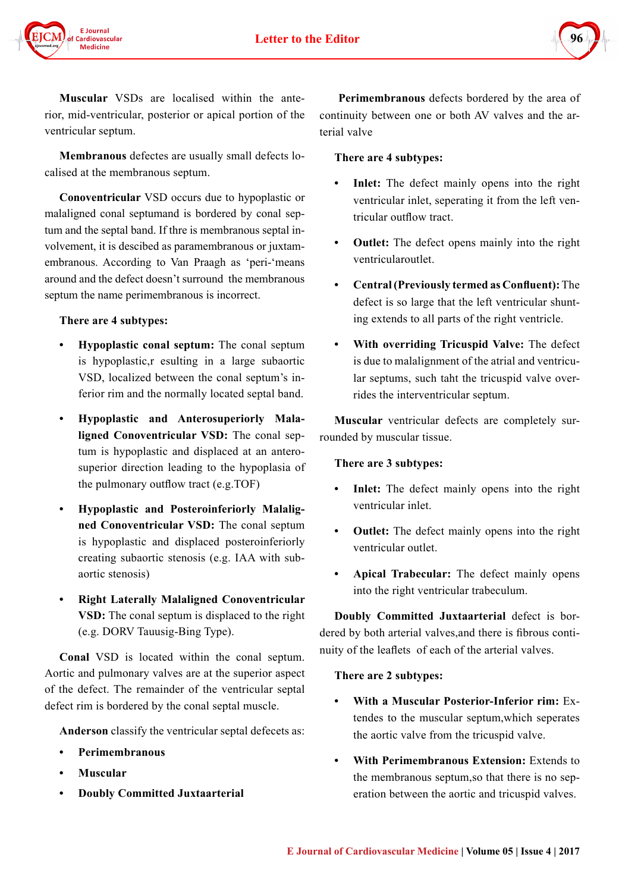

**Muscular** VSDs are localised within the anterior, mid-ventricular, posterior or apical portion of the ventricular septum.

**Membranous** defectes are usually small defects localised at the membranous septum.

**Conoventricular** VSD occurs due to hypoplastic or malaligned conal septumand is bordered by conal septum and the septal band. If thre is membranous septal involvement, it is descibed as paramembranous or juxtamembranous. According to Van Praagh as 'peri-'means around and the defect doesn't surround the membranous septum the name perimembranous is incorrect.

## **There are 4 subtypes:**

- **• Hypoplastic conal septum:** The conal septum is hypoplastic,r esulting in a large subaortic VSD, localized between the conal septum's inferior rim and the normally located septal band.
- **• Hypoplastic and Anterosuperiorly Malaligned Conoventricular VSD:** The conal septum is hypoplastic and displaced at an anterosuperior direction leading to the hypoplasia of the pulmonary outflow tract (e.g.TOF)
- **• Hypoplastic and Posteroinferiorly Malaligned Conoventricular VSD:** The conal septum is hypoplastic and displaced posteroinferiorly creating subaortic stenosis (e.g. IAA with subaortic stenosis)
- **• Right Laterally Malaligned Conoventricular VSD:** The conal septum is displaced to the right (e.g. DORV Tauusig-Bing Type).

**Conal** VSD is located within the conal septum. Aortic and pulmonary valves are at the superior aspect of the defect. The remainder of the ventricular septal defect rim is bordered by the conal septal muscle.

**Anderson** classify the ventricular septal defecets as:

- **• Perimembranous**
- **• Muscular**
- **• Doubly Committed Juxtaarterial**

**Perimembranous** defects bordered by the area of continuity between one or both AV valves and the arterial valve

## **There are 4 subtypes:**

- **• Inlet:** The defect mainly opens into the right ventricular inlet, seperating it from the left ventricular outflow tract.
- **• Outlet:** The defect opens mainly into the right ventricularoutlet.
- **• Central (Previously termed as Confluent):** The defect is so large that the left ventricular shunting extends to all parts of the right ventricle.
- **• With overriding Tricuspid Valve:** The defect is due to malalignment of the atrial and ventricular septums, such taht the tricuspid valve overrides the interventricular septum.

**Muscular** ventricular defects are completely surrounded by muscular tissue.

#### **There are 3 subtypes:**

- **Inlet:** The defect mainly opens into the right ventricular inlet.
- **• Outlet:** The defect mainly opens into the right ventricular outlet.
- **• Apical Trabecular:** The defect mainly opens into the right ventricular trabeculum.

**Doubly Committed Juxtaarterial** defect is bordered by both arterial valves,and there is fibrous continuity of the leaflets of each of the arterial valves.

#### **There are 2 subtypes:**

- **• With a Muscular Posterior-Inferior rim:** Extendes to the muscular septum,which seperates the aortic valve from the tricuspid valve.
- **• With Perimembranous Extension:** Extends to the membranous septum,so that there is no seperation between the aortic and tricuspid valves.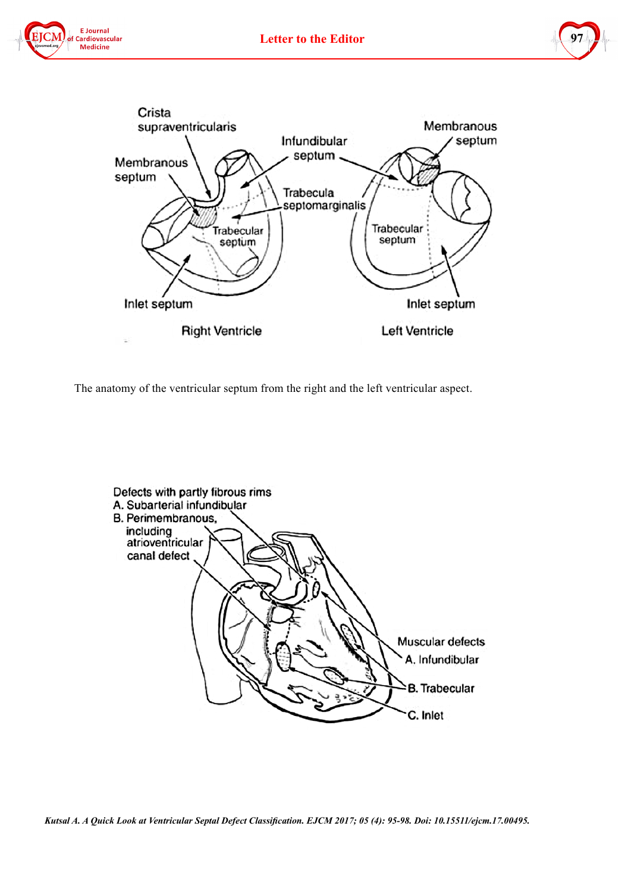





The anatomy of the ventricular septum from the right and the left ventricular aspect.